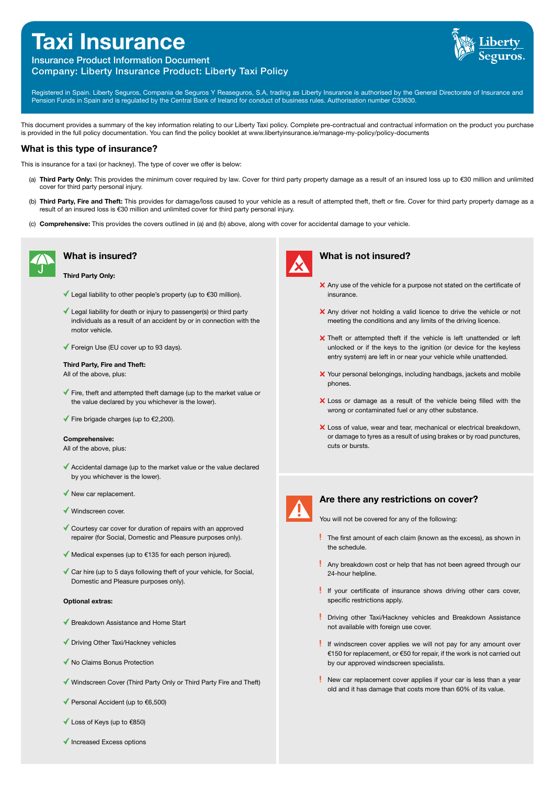# **Taxi Insurance**



# Insurance Product Information Document Company: Liberty Insurance Product: Liberty Taxi Policy

Registered in Spain. Liberty Seguros, Compania de Seguros Y Reaseguros, S.A, trading as Liberty Insurance is authorised by the General Directorate of Insurance and Pension Funds in Spain and is regulated by the Central Bank of Ireland for conduct of business rules. Authorisation number C33630.

This document provides a summary of the key information relating to our Liberty Taxi policy. Complete pre-contractual and contractual information on the product you purchase is provided in the full policy documentation. You can find the policy booklet at www.libertyinsurance.ie/manage-my-policy/policy-documents

## **What is this type of insurance?**

This is insurance for a taxi (or hackney). The type of cover we offer is below:

- (a) Third Party Only: This provides the minimum cover required by law. Cover for third party property damage as a result of an insured loss up to €30 million and unlimited cover for third party personal injury.
- (b) Third Party, Fire and Theft: This provides for damage/loss caused to your vehicle as a result of attempted theft, theft or fire. Cover for third party property damage as a result of an insured loss is €30 million and unlimited cover for third party personal injury.
- (c) Comprehensive: This provides the covers outlined in (a) and (b) above, along with cover for accidental damage to your vehicle.



## **What is insured?**

#### Third Party Only:

- Legal liability to other people's property (up to €30 million).
- $\checkmark$  Legal liability for death or injury to passenger(s) or third party individuals as a result of an accident by or in connection with the motor vehicle.
- ◆ Foreign Use (EU cover up to 93 days).

#### Third Party, Fire and Theft:

All of the above, plus:

- $\checkmark$  Fire, theft and attempted theft damage (up to the market value or the value declared by you whichever is the lower).
- $\blacktriangledown$  Fire brigade charges (up to  $\epsilon$ 2,200).

#### Comprehensive:

All of the above, plus:

- Accidental damage (up to the market value or the value declared by you whichever is the lower).
- $\blacklozenge$  New car replacement.
- Windscreen cover.
- Courtesy car cover for duration of repairs with an approved repairer (for Social, Domestic and Pleasure purposes only).
- $\blacklozenge$  Medical expenses (up to  $\epsilon$ 135 for each person injured).
- $\checkmark$  Car hire (up to 5 days following theft of your vehicle, for Social, Domestic and Pleasure purposes only).

#### Optional extras:

- ◆ Breakdown Assistance and Home Start
- ◆ Driving Other Taxi/Hackney vehicles
- ◆ No Claims Bonus Protection
- Windscreen Cover (Third Party Only or Third Party Fire and Theft)
- Personal Accident (up to €6,500)
- Loss of Keys (up to €850)
- $\blacklozenge$  Increased Excess options



#### **What is not insured?**

- X Any use of the vehicle for a purpose not stated on the certificate of insurance.
- X Any driver not holding a valid licence to drive the vehicle or not meeting the conditions and any limits of the driving licence.
- Theft or attempted theft if the vehicle is left unattended or left unlocked or if the keys to the ignition (or device for the keyless entry system) are left in or near your vehicle while unattended.
- X Your personal belongings, including handbags, jackets and mobile phones.
- X Loss or damage as a result of the vehicle being filled with the wrong or contaminated fuel or any other substance.
- Loss of value, wear and tear, mechanical or electrical breakdown, or damage to tyres as a result of using brakes or by road punctures, cuts or bursts.



#### **Are there any restrictions on cover?**

You will not be covered for any of the following:

- The first amount of each claim (known as the excess), as shown in the schedule.
- Any breakdown cost or help that has not been agreed through our 24-hour helpline.
- If your certificate of insurance shows driving other cars cover, specific restrictions apply.
- Driving other Taxi/Hackney vehicles and Breakdown Assistance not available with foreign use cover.
- If windscreen cover applies we will not pay for any amount over €150 for replacement, or €50 for repair, if the work is not carried out by our approved windscreen specialists.
- New car replacement cover applies if your car is less than a year old and it has damage that costs more than 60% of its value.